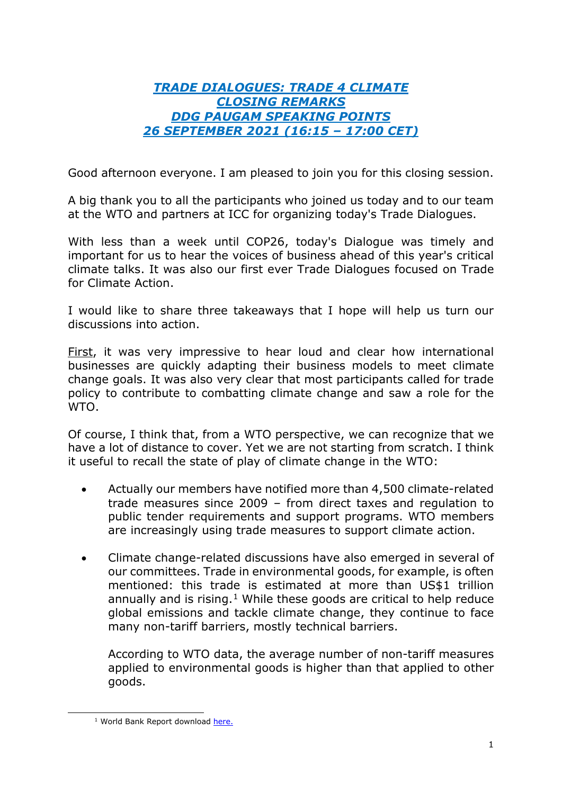## *TRADE DIALOGUES: TRADE 4 CLIMATE CLOSING REMARKS DDG PAUGAM SPEAKING POINTS 26 SEPTEMBER 2021 (16:15 – 17:00 CET)*

Good afternoon everyone. I am pleased to join you for this closing session.

A big thank you to all the participants who joined us today and to our team at the WTO and partners at ICC for organizing today's Trade Dialogues.

With less than a week until COP26, today's Dialogue was timely and important for us to hear the voices of business ahead of this year's critical climate talks. It was also our first ever Trade Dialogues focused on Trade for Climate Action.

I would like to share three takeaways that I hope will help us turn our discussions into action.

First, it was very impressive to hear loud and clear how international businesses are quickly adapting their business models to meet climate change goals. It was also very clear that most participants called for trade policy to contribute to combatting climate change and saw a role for the WTO.

Of course, I think that, from a WTO perspective, we can recognize that we have a lot of distance to cover. Yet we are not starting from scratch. I think it useful to recall the state of play of climate change in the WTO:

- Actually our members have notified more than 4,500 climate-related trade measures since 2009 – from direct taxes and regulation to public tender requirements and support programs. WTO members are increasingly using trade measures to support climate action.
- Climate change-related discussions have also emerged in several of our committees. Trade in environmental goods, for example, is often mentioned: this trade is estimated at more than US\$1 trillion annually and is rising. $1$  While these goods are critical to help reduce global emissions and tackle climate change, they continue to face many non-tariff barriers, mostly technical barriers.

According to WTO data, the average number of non-tariff measures applied to environmental goods is higher than that applied to other goods.

<span id="page-0-0"></span><sup>&</sup>lt;sup>1</sup> World Bank Report download here.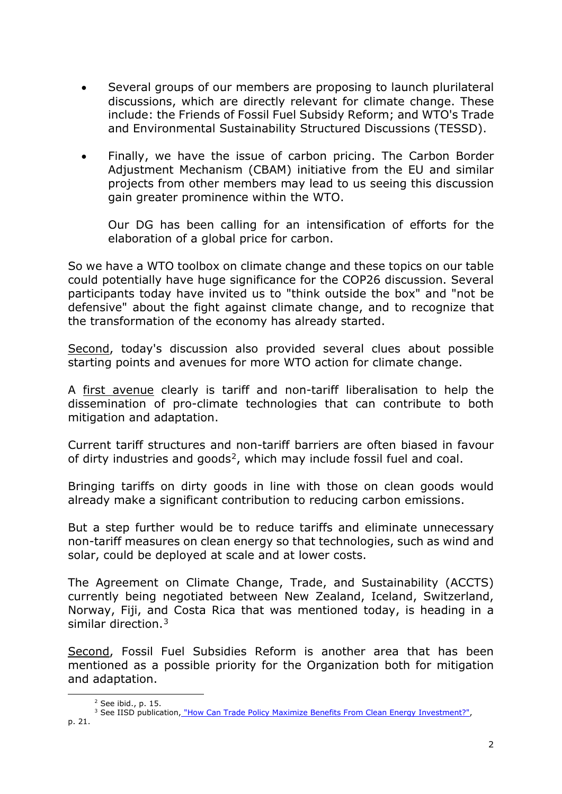- Several groups of our members are proposing to launch plurilateral discussions, which are directly relevant for climate change. These include: the Friends of Fossil Fuel Subsidy Reform; and WTO's Trade and Environmental Sustainability Structured Discussions (TESSD).
- Finally, we have the issue of carbon pricing. The Carbon Border Adjustment Mechanism (CBAM) initiative from the EU and similar projects from other members may lead to us seeing this discussion gain greater prominence within the WTO.

Our DG has been calling for an intensification of efforts for the elaboration of a global price for carbon.

So we have a WTO toolbox on climate change and these topics on our table could potentially have huge significance for the COP26 discussion. Several participants today have invited us to "think outside the box" and "not be defensive" about the fight against climate change, and to recognize that the transformation of the economy has already started.

Second, today's discussion also provided several clues about possible starting points and avenues for more WTO action for climate change.

A first avenue clearly is tariff and non-tariff liberalisation to help the dissemination of pro-climate technologies that can contribute to both mitigation and adaptation.

Current tariff structures and non-tariff barriers are often biased in favour of dirty industries and goods<sup>2</sup>, which may include fossil fuel and coal.

Bringing tariffs on dirty goods in line with those on clean goods would already make a significant contribution to reducing carbon emissions.

But a step further would be to reduce tariffs and eliminate unnecessary non-tariff measures on clean energy so that technologies, such as wind and solar, could be deployed at scale and at lower costs.

The Agreement on Climate Change, Trade, and Sustainability (ACCTS) currently being negotiated between New Zealand, Iceland, Switzerland, Norway, Fiji, and Costa Rica that was mentioned today, is heading in a similar direction.[3](#page-1-1)

Second, Fossil Fuel Subsidies Reform is another area that has been mentioned as a possible priority for the Organization both for mitigation and adaptation.

<span id="page-1-1"></span><span id="page-1-0"></span><sup>&</sup>lt;sup>2</sup> See ibid., p. 15.<br><sup>3</sup> See IISD publication<u>, "How [Can Trade Policy Maximize Benefits From Clean Energy Investment?",](https://www.iisd.org/publications/trade-clean-energy-investment)</u> p. 21.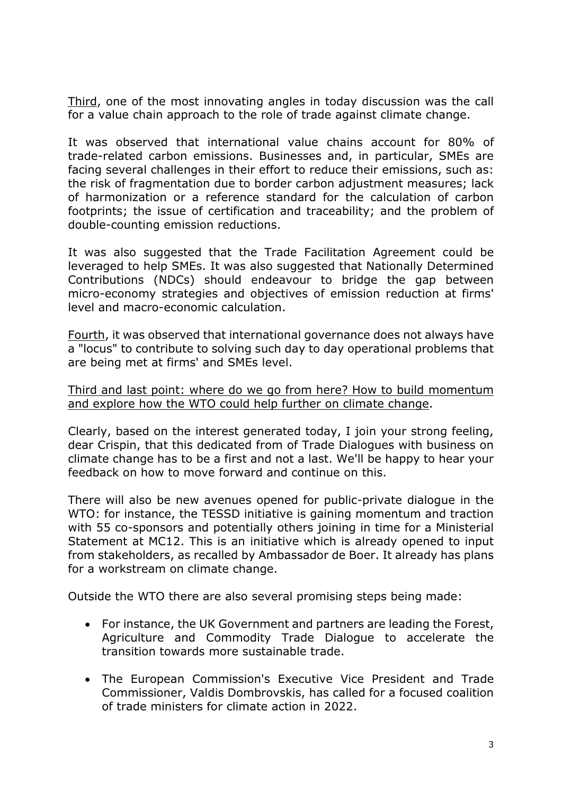Third, one of the most innovating angles in today discussion was the call for a value chain approach to the role of trade against climate change.

It was observed that international value chains account for 80% of trade-related carbon emissions. Businesses and, in particular, SMEs are facing several challenges in their effort to reduce their emissions, such as: the risk of fragmentation due to border carbon adjustment measures; lack of harmonization or a reference standard for the calculation of carbon footprints; the issue of certification and traceability; and the problem of double-counting emission reductions.

It was also suggested that the Trade Facilitation Agreement could be leveraged to help SMEs. It was also suggested that Nationally Determined Contributions (NDCs) should endeavour to bridge the gap between micro-economy strategies and objectives of emission reduction at firms' level and macro-economic calculation.

Fourth, it was observed that international governance does not always have a "locus" to contribute to solving such day to day operational problems that are being met at firms' and SMEs level.

Third and last point: where do we go from here? How to build momentum and explore how the WTO could help further on climate change.

Clearly, based on the interest generated today, I join your strong feeling, dear Crispin, that this dedicated from of Trade Dialogues with business on climate change has to be a first and not a last. We'll be happy to hear your feedback on how to move forward and continue on this.

There will also be new avenues opened for public-private dialogue in the WTO: for instance, the TESSD initiative is gaining momentum and traction with 55 co-sponsors and potentially others joining in time for a Ministerial Statement at MC12. This is an initiative which is already opened to input from stakeholders, as recalled by Ambassador de Boer. It already has plans for a workstream on climate change.

Outside the WTO there are also several promising steps being made:

- For instance, the UK Government and partners are leading the Forest, Agriculture and Commodity Trade Dialogue to accelerate the transition towards more sustainable trade.
- The European Commission's Executive Vice President and Trade Commissioner, Valdis Dombrovskis, has called for a focused coalition of trade ministers for climate action in 2022.